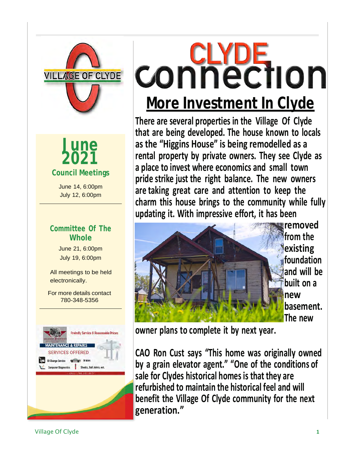

**2021 Council Meetings June**

June 14, 6:00pm July 12, 6:00pm

#### **Committee Of The Whole**

June 21, 6:00pm July 19, 6:00pm

All meetings to be held electronically.

For more details contact 780-348-5356



# **CONNECTION More Investment In Clyde**

**There are several properties in the Village Of Clyde that are being developed. The house known to locals as the "Higgins House" is being remodelled as a rental property by private owners. They see Clyde as a place to invest where economics and small town pride strike just the right balance. The new owners are taking great care and attention to keep the charm this house brings to the community while fully updating it. With impressive effort, it has been**



**removed from the existing foundation and will be built on a new basement. The new**

**owner plans to complete it by next year.**

**CAO Ron Cust says "This home was originally owned by a grain elevator agent." "One of the conditions of sale for Clydes historical homes is that they are refurbished to maintain the historical feel and will benefit the Village Of Clyde community for the next generation."**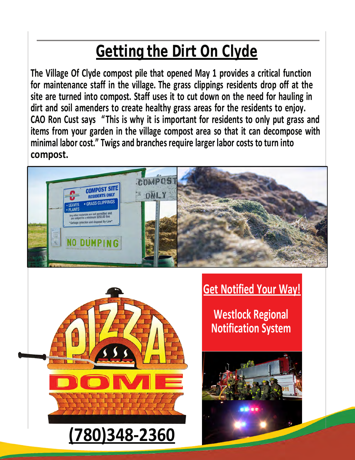## **Getting the Dirt On Clyde**

**The Village Of Clyde compost pile that opened May 1 provides a critical function for maintenance staff in the village. The grass clippings residents drop off at the site are turned into compost. Staff uses it to cut down on the need for hauling in dirt and soil amenders to create healthy grass areas for the residents to enjoy. CAO Ron Cust says "This is why it is important for residents to only put grass and items from your garden in the village compost area so that it can decompose with minimal labor cost." Twigs and branches require larger labor costs to turn into compost.**





### **Get Notified Your Way!**

**Westlock Regional Notification System**

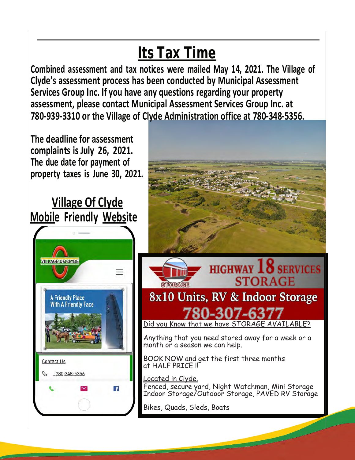## **Its Tax Time**

**Combined assessment and tax notices were mailed May 14, 2021. The Village of Clyde's assessment process has been conducted by Municipal Assessment Services Group Inc. If you have any questions regarding your property assessment, please contact Municipal Assessment Services Group Inc. at 780-939-3310 or the Village of Clyde Administration office at 780-348-5356.**